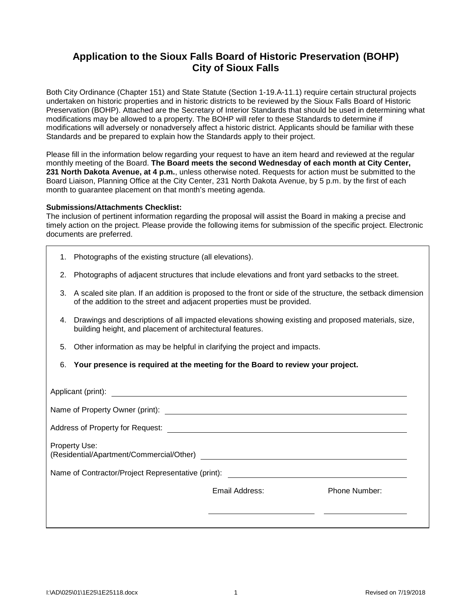## **Application to the Sioux Falls Board of Historic Preservation (BOHP) City of Sioux Falls**

Both City Ordinance (Chapter 151) and State Statute (Section 1-19.A-11.1) require certain structural projects undertaken on historic properties and in historic districts to be reviewed by the Sioux Falls Board of Historic Preservation (BOHP). Attached are the Secretary of Interior Standards that should be used in determining what modifications may be allowed to a property. The BOHP will refer to these Standards to determine if modifications will adversely or nonadversely affect a historic district. Applicants should be familiar with these Standards and be prepared to explain how the Standards apply to their project.

Please fill in the information below regarding your request to have an item heard and reviewed at the regular monthly meeting of the Board. **The Board meets the second Wednesday of each month at City Center, 231 North Dakota Avenue, at 4 p.m.**, unless otherwise noted. Requests for action must be submitted to the Board Liaison, Planning Office at the City Center, 231 North Dakota Avenue, by 5 p.m. by the first of each month to guarantee placement on that month's meeting agenda.

## **Submissions/Attachments Checklist:**

The inclusion of pertinent information regarding the proposal will assist the Board in making a precise and timely action on the project. Please provide the following items for submission of the specific project. Electronic documents are preferred.

- 1. Photographs of the existing structure (all elevations).
- 2. Photographs of adjacent structures that include elevations and front yard setbacks to the street.
- 3. A scaled site plan. If an addition is proposed to the front or side of the structure, the setback dimension of the addition to the street and adjacent properties must be provided.
- 4. Drawings and descriptions of all impacted elevations showing existing and proposed materials, size, building height, and placement of architectural features.
- 5. Other information as may be helpful in clarifying the project and impacts.
- 6. **Your presence is required at the meeting for the Board to review your project.**

| Property Use:                                                                                            |                |               |  |  |  |  |  |
|----------------------------------------------------------------------------------------------------------|----------------|---------------|--|--|--|--|--|
| Name of Contractor/Project Representative (print):<br>Name of Contractor/Project Representative (print): |                |               |  |  |  |  |  |
|                                                                                                          | Email Address: | Phone Number: |  |  |  |  |  |
|                                                                                                          |                |               |  |  |  |  |  |
|                                                                                                          |                |               |  |  |  |  |  |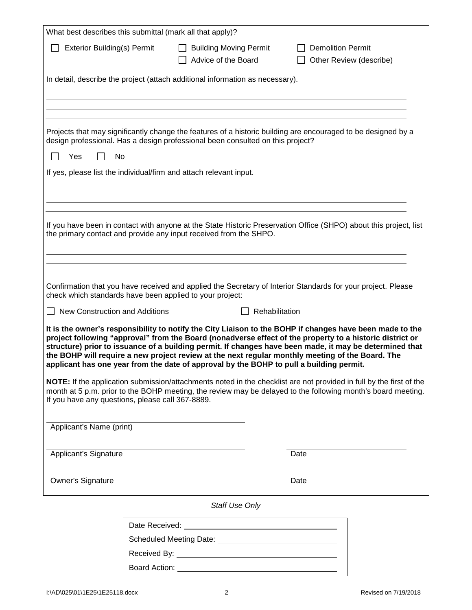| What best describes this submittal (mark all that apply)?                                                                                                                                                                                                                                                                                                                                                                                                                                                                      |                                                  |                                                      |  |                                                     |  |  |
|--------------------------------------------------------------------------------------------------------------------------------------------------------------------------------------------------------------------------------------------------------------------------------------------------------------------------------------------------------------------------------------------------------------------------------------------------------------------------------------------------------------------------------|--------------------------------------------------|------------------------------------------------------|--|-----------------------------------------------------|--|--|
| <b>Exterior Building(s) Permit</b>                                                                                                                                                                                                                                                                                                                                                                                                                                                                                             |                                                  | <b>Building Moving Permit</b><br>Advice of the Board |  | <b>Demolition Permit</b><br>Other Review (describe) |  |  |
| In detail, describe the project (attach additional information as necessary).                                                                                                                                                                                                                                                                                                                                                                                                                                                  |                                                  |                                                      |  |                                                     |  |  |
|                                                                                                                                                                                                                                                                                                                                                                                                                                                                                                                                |                                                  |                                                      |  |                                                     |  |  |
|                                                                                                                                                                                                                                                                                                                                                                                                                                                                                                                                |                                                  |                                                      |  |                                                     |  |  |
| Projects that may significantly change the features of a historic building are encouraged to be designed by a<br>design professional. Has a design professional been consulted on this project?                                                                                                                                                                                                                                                                                                                                |                                                  |                                                      |  |                                                     |  |  |
| Yes<br>No                                                                                                                                                                                                                                                                                                                                                                                                                                                                                                                      |                                                  |                                                      |  |                                                     |  |  |
| If yes, please list the individual/firm and attach relevant input.                                                                                                                                                                                                                                                                                                                                                                                                                                                             |                                                  |                                                      |  |                                                     |  |  |
|                                                                                                                                                                                                                                                                                                                                                                                                                                                                                                                                |                                                  |                                                      |  |                                                     |  |  |
|                                                                                                                                                                                                                                                                                                                                                                                                                                                                                                                                |                                                  |                                                      |  |                                                     |  |  |
| If you have been in contact with anyone at the State Historic Preservation Office (SHPO) about this project, list<br>the primary contact and provide any input received from the SHPO.                                                                                                                                                                                                                                                                                                                                         |                                                  |                                                      |  |                                                     |  |  |
|                                                                                                                                                                                                                                                                                                                                                                                                                                                                                                                                |                                                  |                                                      |  |                                                     |  |  |
| Confirmation that you have received and applied the Secretary of Interior Standards for your project. Please<br>check which standards have been applied to your project:                                                                                                                                                                                                                                                                                                                                                       |                                                  |                                                      |  |                                                     |  |  |
|                                                                                                                                                                                                                                                                                                                                                                                                                                                                                                                                | New Construction and Additions<br>Rehabilitation |                                                      |  |                                                     |  |  |
| It is the owner's responsibility to notify the City Liaison to the BOHP if changes have been made to the<br>project following "approval" from the Board (nonadverse effect of the property to a historic district or<br>structure) prior to issuance of a building permit. If changes have been made, it may be determined that<br>the BOHP will require a new project review at the next regular monthly meeting of the Board. The<br>applicant has one year from the date of approval by the BOHP to pull a building permit. |                                                  |                                                      |  |                                                     |  |  |
| NOTE: If the application submission/attachments noted in the checklist are not provided in full by the first of the<br>month at 5 p.m. prior to the BOHP meeting, the review may be delayed to the following month's board meeting.<br>If you have any questions, please call 367-8889.                                                                                                                                                                                                                                        |                                                  |                                                      |  |                                                     |  |  |
| Applicant's Name (print)                                                                                                                                                                                                                                                                                                                                                                                                                                                                                                       |                                                  |                                                      |  |                                                     |  |  |
| Applicant's Signature                                                                                                                                                                                                                                                                                                                                                                                                                                                                                                          |                                                  |                                                      |  | Date                                                |  |  |
| Owner's Signature                                                                                                                                                                                                                                                                                                                                                                                                                                                                                                              |                                                  |                                                      |  | Date                                                |  |  |
| <b>Staff Use Only</b>                                                                                                                                                                                                                                                                                                                                                                                                                                                                                                          |                                                  |                                                      |  |                                                     |  |  |
|                                                                                                                                                                                                                                                                                                                                                                                                                                                                                                                                |                                                  |                                                      |  |                                                     |  |  |
|                                                                                                                                                                                                                                                                                                                                                                                                                                                                                                                                |                                                  |                                                      |  |                                                     |  |  |
|                                                                                                                                                                                                                                                                                                                                                                                                                                                                                                                                |                                                  |                                                      |  |                                                     |  |  |
|                                                                                                                                                                                                                                                                                                                                                                                                                                                                                                                                |                                                  |                                                      |  |                                                     |  |  |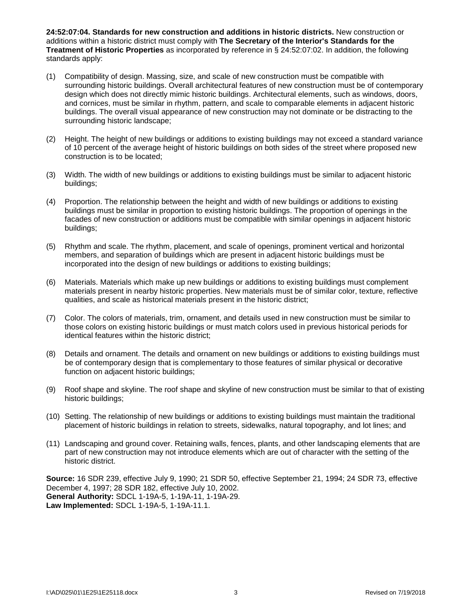**24:52:07:04. Standards for new construction and additions in historic districts.** New construction or additions within a historic district must comply with **The Secretary of the Interior's Standards for the Treatment of Historic Properties** as incorporated by reference in § 24:52:07:02. In addition, the following standards apply:

- (1) Compatibility of design. Massing, size, and scale of new construction must be compatible with surrounding historic buildings. Overall architectural features of new construction must be of contemporary design which does not directly mimic historic buildings. Architectural elements, such as windows, doors, and cornices, must be similar in rhythm, pattern, and scale to comparable elements in adjacent historic buildings. The overall visual appearance of new construction may not dominate or be distracting to the surrounding historic landscape;
- (2) Height. The height of new buildings or additions to existing buildings may not exceed a standard variance of 10 percent of the average height of historic buildings on both sides of the street where proposed new construction is to be located;
- (3) Width. The width of new buildings or additions to existing buildings must be similar to adjacent historic buildings;
- (4) Proportion. The relationship between the height and width of new buildings or additions to existing buildings must be similar in proportion to existing historic buildings. The proportion of openings in the facades of new construction or additions must be compatible with similar openings in adjacent historic buildings;
- (5) Rhythm and scale. The rhythm, placement, and scale of openings, prominent vertical and horizontal members, and separation of buildings which are present in adjacent historic buildings must be incorporated into the design of new buildings or additions to existing buildings;
- (6) Materials. Materials which make up new buildings or additions to existing buildings must complement materials present in nearby historic properties. New materials must be of similar color, texture, reflective qualities, and scale as historical materials present in the historic district;
- (7) Color. The colors of materials, trim, ornament, and details used in new construction must be similar to those colors on existing historic buildings or must match colors used in previous historical periods for identical features within the historic district;
- (8) Details and ornament. The details and ornament on new buildings or additions to existing buildings must be of contemporary design that is complementary to those features of similar physical or decorative function on adjacent historic buildings;
- (9) Roof shape and skyline. The roof shape and skyline of new construction must be similar to that of existing historic buildings;
- (10) Setting. The relationship of new buildings or additions to existing buildings must maintain the traditional placement of historic buildings in relation to streets, sidewalks, natural topography, and lot lines; and
- (11) Landscaping and ground cover. Retaining walls, fences, plants, and other landscaping elements that are part of new construction may not introduce elements which are out of character with the setting of the historic district.

**Source:** 16 SDR 239, effective July 9, 1990; 21 SDR 50, effective September 21, 1994; 24 SDR 73, effective December 4, 1997; 28 SDR 182, effective July 10, 2002. **General Authority:** SDCL 1-19A-5, 1-19A-11, 1-19A-29. **Law Implemented:** SDCL 1-19A-5, 1-19A-11.1.